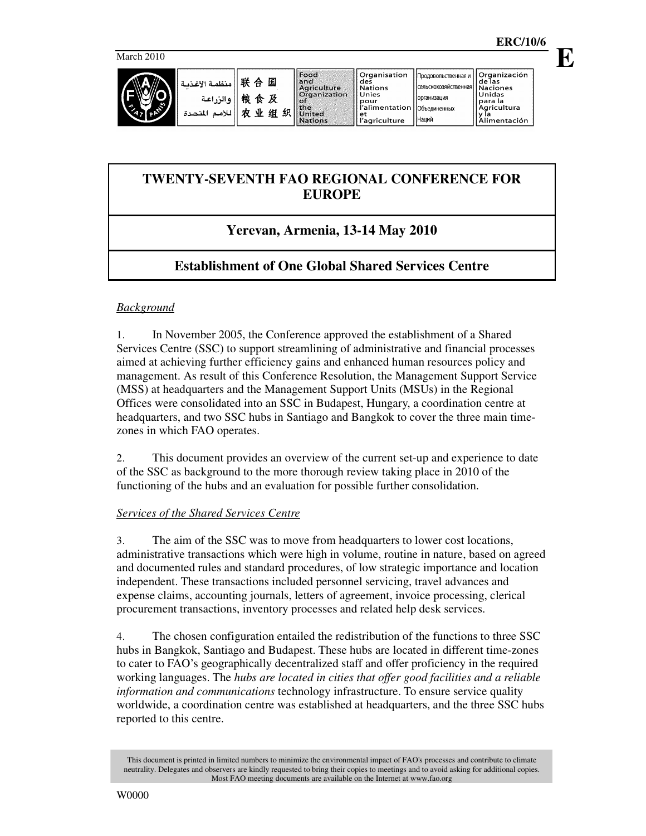**E**



.<br>Сельскохозяйстве

организация

Наций

Объединенных

# **TWENTY-SEVENTH FAO REGIONAL CONFERENCE FOR EUROPE**

# **Yerevan, Armenia, 13-14 May 2010**

# **Establishment of One Global Shared Services Centre**

# *Background*

1. In November 2005, the Conference approved the establishment of a Shared Services Centre (SSC) to support streamlining of administrative and financial processes aimed at achieving further efficiency gains and enhanced human resources policy and management. As result of this Conference Resolution, the Management Support Service (MSS) at headquarters and the Management Support Units (MSUs) in the Regional Offices were consolidated into an SSC in Budapest, Hungary, a coordination centre at headquarters, and two SSC hubs in Santiago and Bangkok to cover the three main timezones in which FAO operates.

2. This document provides an overview of the current set-up and experience to date of the SSC as background to the more thorough review taking place in 2010 of the functioning of the hubs and an evaluation for possible further consolidation.

# *Services of the Shared Services Centre*

3. The aim of the SSC was to move from headquarters to lower cost locations, administrative transactions which were high in volume, routine in nature, based on agreed and documented rules and standard procedures, of low strategic importance and location independent. These transactions included personnel servicing, travel advances and expense claims, accounting journals, letters of agreement, invoice processing, clerical procurement transactions, inventory processes and related help desk services.

4. The chosen configuration entailed the redistribution of the functions to three SSC hubs in Bangkok, Santiago and Budapest. These hubs are located in different time-zones to cater to FAO's geographically decentralized staff and offer proficiency in the required working languages. The *hubs are located in cities that offer good facilities and a reliable information and communications* technology infrastructure. To ensure service quality worldwide, a coordination centre was established at headquarters, and the three SSC hubs reported to this centre.

This document is printed in limited numbers to minimize the environmental impact of FAO's processes and contribute to climate neutrality. Delegates and observers are kindly requested to bring their copies to meetings and to avoid asking for additional copies. Most FAO meeting documents are available on the Internet at www.fao.org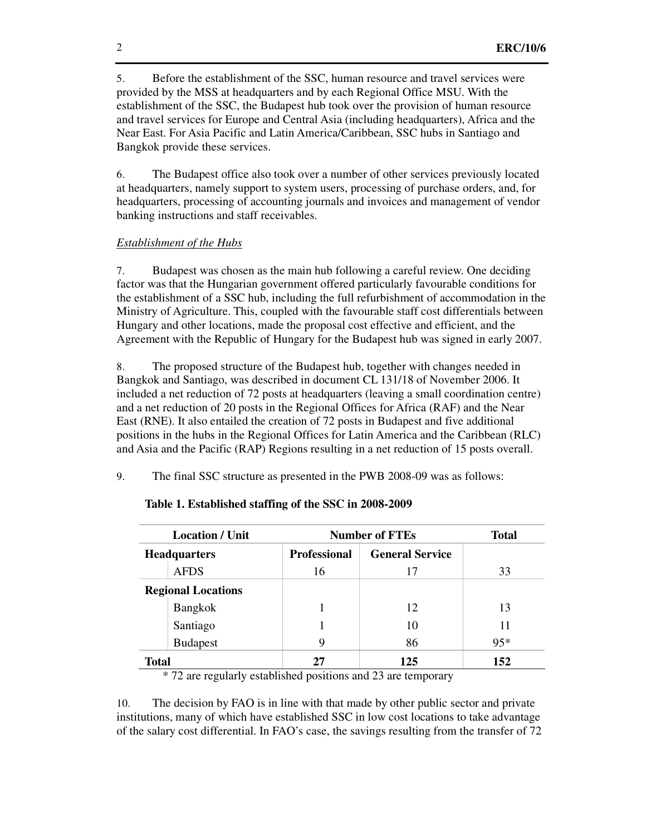5. Before the establishment of the SSC, human resource and travel services were provided by the MSS at headquarters and by each Regional Office MSU. With the establishment of the SSC, the Budapest hub took over the provision of human resource and travel services for Europe and Central Asia (including headquarters), Africa and the Near East. For Asia Pacific and Latin America/Caribbean, SSC hubs in Santiago and Bangkok provide these services.

6. The Budapest office also took over a number of other services previously located at headquarters, namely support to system users, processing of purchase orders, and, for headquarters, processing of accounting journals and invoices and management of vendor banking instructions and staff receivables.

## *Establishment of the Hubs*

7. Budapest was chosen as the main hub following a careful review. One deciding factor was that the Hungarian government offered particularly favourable conditions for the establishment of a SSC hub, including the full refurbishment of accommodation in the Ministry of Agriculture. This, coupled with the favourable staff cost differentials between Hungary and other locations, made the proposal cost effective and efficient, and the Agreement with the Republic of Hungary for the Budapest hub was signed in early 2007.

8. The proposed structure of the Budapest hub, together with changes needed in Bangkok and Santiago, was described in document CL 131/18 of November 2006. It included a net reduction of 72 posts at headquarters (leaving a small coordination centre) and a net reduction of 20 posts in the Regional Offices for Africa (RAF) and the Near East (RNE). It also entailed the creation of 72 posts in Budapest and five additional positions in the hubs in the Regional Offices for Latin America and the Caribbean (RLC) and Asia and the Pacific (RAP) Regions resulting in a net reduction of 15 posts overall.

9. The final SSC structure as presented in the PWB 2008-09 was as follows:

| <b>Location</b> / Unit    |                 | <b>Number of FTEs</b> |                        | <b>Total</b> |
|---------------------------|-----------------|-----------------------|------------------------|--------------|
| <b>Headquarters</b>       |                 | <b>Professional</b>   | <b>General Service</b> |              |
|                           | <b>AFDS</b>     | 16                    | 17                     | 33           |
| <b>Regional Locations</b> |                 |                       |                        |              |
|                           | Bangkok         |                       | 12                     | 13           |
|                           | Santiago        |                       | 10                     | 11           |
|                           | <b>Budapest</b> |                       | 86                     | $95*$        |
| <b>Total</b>              |                 | 27                    | 125                    | 152          |

### **Table 1. Established staffing of the SSC in 2008-2009**

\* 72 are regularly established positions and 23 are temporary

10. The decision by FAO is in line with that made by other public sector and private institutions, many of which have established SSC in low cost locations to take advantage of the salary cost differential. In FAO's case, the savings resulting from the transfer of 72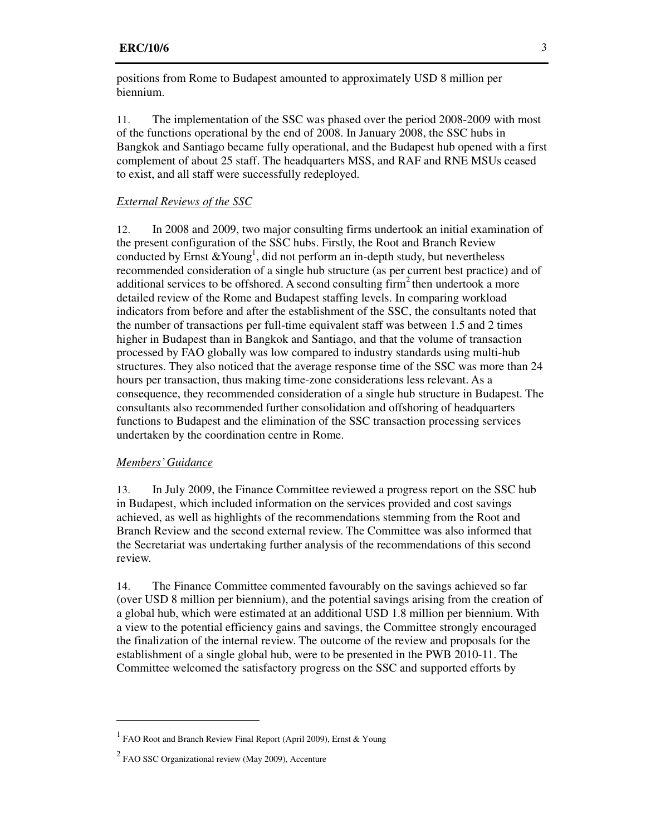positions from Rome to Budapest amounted to approximately USD 8 million per biennium.

11. The implementation of the SSC was phased over the period 2008-2009 with most of the functions operational by the end of 2008. In January 2008, the SSC hubs in Bangkok and Santiago became fully operational, and the Budapest hub opened with a first complement of about 25 staff. The headquarters MSS, and RAF and RNE MSUs ceased to exist, and all staff were successfully redeployed.

### *External Reviews of the SSC*

12. In 2008 and 2009, two major consulting firms undertook an initial examination of the present configuration of the SSC hubs. Firstly, the Root and Branch Review conducted by Ernst  $&$  Young<sup>1</sup>, did not perform an in-depth study, but nevertheless recommended consideration of a single hub structure (as per current best practice) and of additional services to be offshored. A second consulting  $\lim^2$  then undertook a more detailed review of the Rome and Budapest staffing levels. In comparing workload indicators from before and after the establishment of the SSC, the consultants noted that the number of transactions per full-time equivalent staff was between 1.5 and 2 times higher in Budapest than in Bangkok and Santiago, and that the volume of transaction processed by FAO globally was low compared to industry standards using multi-hub structures. They also noticed that the average response time of the SSC was more than 24 hours per transaction, thus making time-zone considerations less relevant. As a consequence, they recommended consideration of a single hub structure in Budapest. The consultants also recommended further consolidation and offshoring of headquarters functions to Budapest and the elimination of the SSC transaction processing services undertaken by the coordination centre in Rome.

### *Members' Guidance*

-

13. In July 2009, the Finance Committee reviewed a progress report on the SSC hub in Budapest, which included information on the services provided and cost savings achieved, as well as highlights of the recommendations stemming from the Root and Branch Review and the second external review. The Committee was also informed that the Secretariat was undertaking further analysis of the recommendations of this second review.

14. The Finance Committee commented favourably on the savings achieved so far (over USD 8 million per biennium), and the potential savings arising from the creation of a global hub, which were estimated at an additional USD 1.8 million per biennium. With a view to the potential efficiency gains and savings, the Committee strongly encouraged the finalization of the internal review. The outcome of the review and proposals for the establishment of a single global hub, were to be presented in the PWB 2010-11. The Committee welcomed the satisfactory progress on the SSC and supported efforts by

<sup>1</sup> FAO Root and Branch Review Final Report (April 2009), Ernst & Young

<sup>&</sup>lt;sup>2</sup> FAO SSC Organizational review (May 2009), Accenture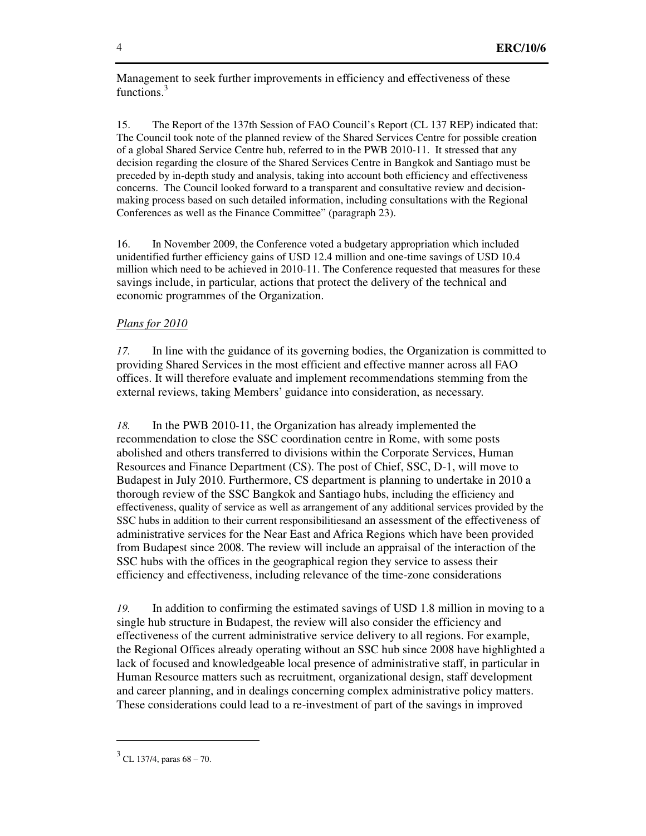Management to seek further improvements in efficiency and effectiveness of these functions.<sup>3</sup>

15. The Report of the 137th Session of FAO Council's Report (CL 137 REP) indicated that: The Council took note of the planned review of the Shared Services Centre for possible creation of a global Shared Service Centre hub, referred to in the PWB 2010-11. It stressed that any decision regarding the closure of the Shared Services Centre in Bangkok and Santiago must be preceded by in-depth study and analysis, taking into account both efficiency and effectiveness concerns. The Council looked forward to a transparent and consultative review and decisionmaking process based on such detailed information, including consultations with the Regional Conferences as well as the Finance Committee" (paragraph 23).

16. In November 2009, the Conference voted a budgetary appropriation which included unidentified further efficiency gains of USD 12.4 million and one-time savings of USD 10.4 million which need to be achieved in 2010-11. The Conference requested that measures for these savings include, in particular, actions that protect the delivery of the technical and economic programmes of the Organization.

### *Plans for 2010*

*17.* In line with the guidance of its governing bodies, the Organization is committed to providing Shared Services in the most efficient and effective manner across all FAO offices. It will therefore evaluate and implement recommendations stemming from the external reviews, taking Members' guidance into consideration, as necessary.

*18.* In the PWB 2010-11, the Organization has already implemented the recommendation to close the SSC coordination centre in Rome, with some posts abolished and others transferred to divisions within the Corporate Services, Human Resources and Finance Department (CS). The post of Chief, SSC, D-1, will move to Budapest in July 2010. Furthermore, CS department is planning to undertake in 2010 a thorough review of the SSC Bangkok and Santiago hubs, including the efficiency and effectiveness, quality of service as well as arrangement of any additional services provided by the SSC hubs in addition to their current responsibilitiesand an assessment of the effectiveness of administrative services for the Near East and Africa Regions which have been provided from Budapest since 2008. The review will include an appraisal of the interaction of the SSC hubs with the offices in the geographical region they service to assess their efficiency and effectiveness, including relevance of the time-zone considerations

*19.* In addition to confirming the estimated savings of USD 1.8 million in moving to a single hub structure in Budapest, the review will also consider the efficiency and effectiveness of the current administrative service delivery to all regions. For example, the Regional Offices already operating without an SSC hub since 2008 have highlighted a lack of focused and knowledgeable local presence of administrative staff, in particular in Human Resource matters such as recruitment, organizational design, staff development and career planning, and in dealings concerning complex administrative policy matters. These considerations could lead to a re-investment of part of the savings in improved

-

 $3$  CL 137/4, paras 68 – 70.